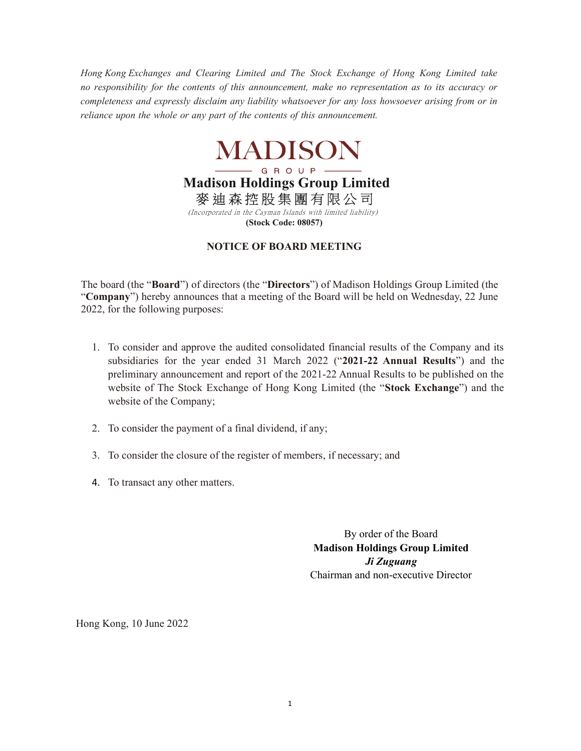Hong Kong Exchanges and Clearing Limited and The Stock Exchange of Hong Kong Limited take no responsibility for the contents of this announcement, make no representation as to its accuracy or completeness and expressly disclaim any liability whatsoever for any loss howsoever arising from or in reliance upon the whole or any part of the contents of this announcement.



Madison Holdings Group Limited 麥 迪 森 控 股 集 團 有 限 公 司

 (Incorporated in the Cayman Islands with limited liability) (Stock Code: 08057)

## NOTICE OF BOARD MEETING

The board (the "Board") of directors (the "Directors") of Madison Holdings Group Limited (the "Company") hereby announces that a meeting of the Board will be held on Wednesday, 22 June 2022, for the following purposes:

- 1. To consider and approve the audited consolidated financial results of the Company and its subsidiaries for the year ended 31 March 2022 ("2021-22 Annual Results") and the preliminary announcement and report of the 2021-22 Annual Results to be published on the website of The Stock Exchange of Hong Kong Limited (the "Stock Exchange") and the website of the Company;
- 2. To consider the payment of a final dividend, if any;
- 3. To consider the closure of the register of members, if necessary; and
- 4. To transact any other matters.

By order of the Board Madison Holdings Group Limited Ji Zuguang Chairman and non-executive Director

Hong Kong, 10 June 2022